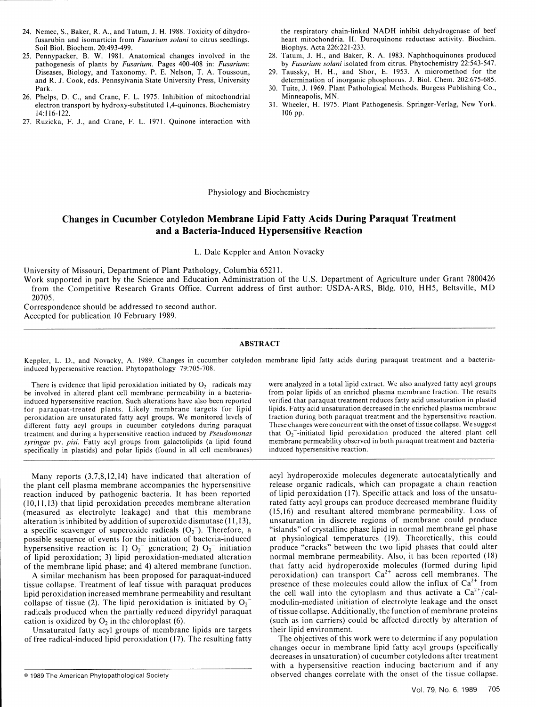# Changes in Cucumber Cotyledon Membrane Lipid Fatty Acids During Paraquat Treatment and a Bacteria-Induced Hypersensitive Reaction

L. Dale Keppler and Anton Novacky

University of Missouri, Department of Plant Pathology, Columbia 65211.

Work supported in part by the Science and Education Administration of the U.S. Department of Agriculture under Grant 7800426 from the Competitive Research Grants Office. Current address of first author: USDA-ARS, Bldg. 010, HH5, Beltsville, MD 20705.

Correspondence should be addressed to second author. Accepted for publication 10 February 1989.

## ABSTRACT

Keppler, L. D., and Novacky, A. 1989. Changes in cucumber cotyledon membrane lipid fatty acids during paraquat treatment and a bacteriainduced hypersensitive reaction. Phytopathology 79:705-708.

be involved in altered plant cell membrane permeability in a bacteria-<br>induced hypersensitive reaction. Such alterations have also been reported verified that paraquat treatment reduces fatty acid unsaturation in plastid induced hypersensitive reaction. Such alterations have also been reported verified that paraquat treatment reduces fatty acid unsaturation in plastid for paraquat-treated plants. Likely membrane targets for lipid lipids. Fatty acid unsaturation decreased in the enriched plasma membrane<br>neroxidation are unsaturated fatty acyl groups. We monitored levels of fraction durin peroxidation are unsaturated fatty acyl groups. We monitored levels of fraction during both paraquat treatment and the hypersensitive reaction.<br>different fatty acyl groups in cucumber cotyledons during paraquat These chang different fatty acyl groups in cucumber cotyledons during paraquat These changes were concurrent with the onset of tissue collapse. We suggest<br>treatment and during a hypersensitive reaction induced by *Pseudomonas* that O<sub></sub> treatment and during a hypersensitive reaction induced by *Pseudomonas* that O<sub>2</sub><sup>-</sup>-initiated lipid peroxidation produced the altered plant cell<br>syringee by pisi. Fatty acyl groups from galactolipids (a lipid found membra *syringae* pv. *pisi.* Fatty acyl groups from galactolipids (a lipid found membrane permeability observed specifically in plastids) and polar lipids (found in all cell membranes) induced hypersensitive reaction.  $specificality$  in plastids) and polar lipids (found in all cell membranes)

the plant cell plasma membrane accompanies the hypersensitive reaction induced by pathogenic bacteria. It has been reported (10,11,13) that lipid peroxidation precedes membrane alteration rated fatty acyl groups can produce decreased membrane fluidity (measured as electrolyte leakage) and that this membrane *(15,16)* and resultant altered membrane permeability. Loss of alteration is inhibited by addition of superoxide dismutase (11,13), unsaturation in discrete regions of membrane could produce a specific scavenger of superoxide radicals  $(O_2^-)$ . Therefore, a "islands" of crystalline phase lipid in normal membrane gel phase possible sequence of events for the initiation of bacteria-induced at physiological temperatures (19). Theoretically, this could hypersensitive reaction is: 1)  $O_2^-$  generation; 2)  $O_2^-$  initiation produce "cracks" between the two lipid phases that could alter of lipid peroxidation; 3) lipid peroxidation-mediated alteration normal membrane permeability. Also, it has been reported (18) of the membrane lipid phase; and 4) altered membrane function. that fatty acid hydroperoxide molecules (formed during lipid

A similar mechanism has been proposed for paraquat-induced peroxidation) can transport Ca across cell memoranes. The influx of  $Ca^{2+}$  from tissue collapse. Treatment of leaf tissue with paraquat produces presence of these molecules could allow the influx of  $Ca^{2+}$  from lipid peroxidation increased membrane permeability and resultant the cell wall into the c collapse of tissue (2). The lipid peroxidation is initiated by  $O<sub>2</sub>$  modulin-mediated initiation of electrolyte leakage and the onset radicals produced when the partially reduced dipyridyl paraquat of tissue collapse. Additionally, the function of membrane proteins cation is oxidized by  $O_2$  in the chloroplast (6). (such as ion carriers) could be affected directly by alteration of

Unsaturated fatty acyl groups of membrane lipids are targets their lipid environment. of free radical-induced lipid peroxidation (17). The resulting fatty The objectives of this work were to determine if any population

There is evidence that lipid peroxidation initiated by  $O_2^-$  radicals may were analyzed in a total lipid extract. We also analyzed fatty acyl groups<br>involved in altered plant cell membrane permeability in a bacteria-<br>fro

Many reports (3,7,8,12,14) have indicated that alteration of acyl hydroperoxide molecules degenerate autocatalytically and<br>e plant cell plasma membrane accompanies the hypersensitive release organic radicals, which can pro of lipid peroxidation  $(17)$ . Specific attack and loss of the unsatu-A similar mechanism has been proposed for paraquat-induced peroxidation) can transport  $Ca<sup>2+</sup>$  across cell membranes. The

changes occur in membrane lipid fatty acyl groups (specifically decreases in unsaturation) of cucumber cotyledons after treatment with a hypersensitive reaction inducing bacterium and if any © 1989 The American Phytopathological Society observed changes correlate with the onset of the tissue collapse.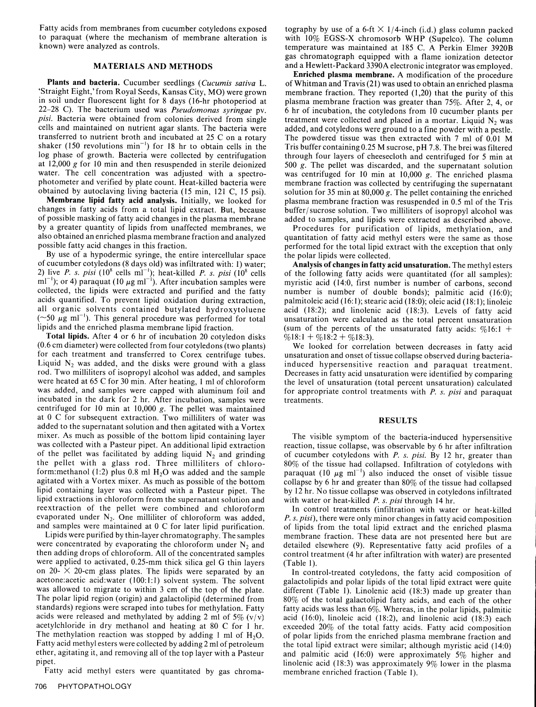Fatty acids from membranes from cucumber cotyledons exposed tography by use of a 6-ft  $\times$  1/4-inch (i.d.) glass column packed to paraquat (where the mechanism of membrane alteration is with 10% EGSS-X chromosorb WHP (Sun

22–28 C). The bacterium used was *Pseudomonas syringae* pv. 6 hr of incubation, the cotyledons from 10 cucumber plants per *pisi*. Bacteria were obtained from colonies derived from single treatment were collected and plac shaker (150 revolutions min<sup>-1</sup>) for 18 hr to obtain cells in the Tris buffer containing 0.25 M sucrose, pH 7.8. The brei was filtered<br>log phase of growth. Bacteria were collected by centrifugation through four layers of log phase of growth. Bacteria were collected by centrifugation through four layers of cheesecloth and centrifuged for 5 min at  $12,000$  g for 10 min and then resuspended in sterile deionized 500 g. The pellet was discarde

changes in fatty acids from a total lipid extract. But, because buffer/sucrose solution. Two milliliters of isopropyl alcohol was of possible masking of fatty acid changes in the plasma membrane added to samples, and lipid by a greater quantity of lipids from unaffected membranes, we Procedures for purification of lipids, methylation, and also obtained an enriched plasma membrane fraction and analyzed quantitation of fatty acid methyl esters were the same as those<br>possible fatty acid changes in this fraction.

of cucumber cotyledons (8 days old) was infiltrated with: 1) water; Analysis of changes in fatty acid unsaturation. The methyl esters 2) live P. s. pisi (10<sup>8</sup> cells m<sup>-1</sup>); heat-killed P. s. pisi (10<sup>8</sup> cells of the following fatty acids were quantitated (for all samples):<br>m<sup>-1</sup>); or 4) paraquat (10  $\mu$ g m<sup>-1</sup>). After incubation samples were myristic collected, the lipids were extracted and purified and the fatty number is number of double bonds); palmitic acid (16:0); acids quantified. To prevent lipid oxidation during extraction, palmitoleic acid (16:1); stearic acid all organic solvents contained butylated hydroxytoluene acid (18:2); and linolenic acid (18:3). Levels of fatty acid  $(\sim 50 \ \mu g \text{ ml}^{-1})$ . This general procedure was performed for total unsaturation were calculated as the ( $\sim$ 50  $\mu$ g ml<sup>-1</sup>). This general procedure was performed for total unsaturation were calculated as the total percent unsaturation lipids and the enriched plasma membrane lipid fraction. (sum of the percents of the unsa

**Total lipids.** After 4 or 6 hr of incubation 20 cotyledon disks  $\%18:1 + \%18:2 + \%18:3$ . (0.6 cm diameter) were collected from four cotyledons (two plants) We looked for correlation between decreases in fatty acid for each treatment and transferred to Corex centrifuge tubes. unsaturation and onset of tissue collapse observed during bacteria-Liquid  $N_2$  was added, and the disks were ground with a glass induced hypersensitive reaction and paraquat treatment.<br>
rod. Two milliliters of isopropyl alcohol was added, and samples Decreases in fatty acid unsaturation rod. Two milliliters of isopropyl alcohol was added, and samples Decreases in fatty acid unsaturation were identified by comparing were heated at 65 C for 30 min. After heating, 1 ml of chloroform the level of unsaturation centrifuged for 10 min at 10,000 g. The pellet was maintained at 0 C for subsequent extraction. Two milliliters of water was **RESULTS** added to the supernatant solution and then agitated with a Vortex mixer. As much as possible of the bottom lipid containing layer The visible symptom of the bacteria-induced hypersensitive was collected with a Pasteur pipet. An additional lipid extraction reaction, tissue collapse, was o of the pellet was facilitated by adding liquid  $N_2$  and grinding of cucumber cotyledons with *P. s. pisi.* By 12 hr, greater than the pellet with a glass rod. Three milliliters of chloro- 80% of the tissue had collapsed. Infiltration of cotyledons with form:methanol (1:2) plus 0.8 ml H<sub>2</sub>O was added and the sample paraquat (10  $\mu$ g ml<sup>-1</sup>) also induced the onset of visible tissue agitated with a Vortex mixer. As much as possible of the bottom collapse by 6 hr and greater than  $80\%$  of the tissue had collapsed lipid containing layer was collected with a Pasteur pipet. The by 12 hr. No tissue colla lipid extractions in chloroform from the supernatant solution and reextraction of the pellet were combined and chloroform reextraction of the pellet were combined and chloroform In control treatments (infiltration with water or heat-killed evaporated under N<sub>2</sub>. One milliliter of chloroform was added, P. s. pisi), there were only minor change

were applied to activated, 0.25-mm thick silica gel G thin layers (Table 1).<br>on 20-  $\times$  20-cm glass plates. The lipids were separated by an In control-treated cotyledons, the fatty acid composition of acetone: acetic acid: water (100:1:1) solvent system. The solvent galactolipids and polar lipids of the total lipid extract were quite<br>was allowed to migrate to within 3 cm of the top of the plate. different (Table 1). Lin was allowed to migrate to within 3 cm of the top of the plate. different (Table 1). Linolenic acid (18:3) made up greater than<br>The polar lipid region (origin) and galactolipid (determined from 80% of the total galactolipid I he polar lipid region (origin) and galactolipid (determined from 80% of the total galactolipid fatty acids, and each of the other standards) regions were scraped into tubes for methylation. Fatty acids was less than 6%. standards) regions were scraped into tubes for methylation. Fatty fatty acids was less than 6%. Whereas, in the polar lipids, palmitic acids were released and methylated by adding 2 ml of 5%  $(v/v)$  acid (16:0), linoleic aci acids were released and methylated by adding 2 ml of 5%  $(v/v)$  acid (16:0), linoleic acid (18:2), and linolenic acid (18:3) each acetylchloride in dry methanol and heating at 80 C for 1 hr. exceeded 20% of the total fatty acetylchloride in dry methanol and heating at 80 C for 1 hr. exceeded 20% of the total fatty acids. Fatty acid composition The methylation reaction was stopped by adding 1 ml of H<sub>2</sub>O. of polar lipids from the enriched pl The methylation reaction was stopped by adding 1 ml of  $H_2O$ . of polar lipids from the enriched plasma membrane fraction and Fatty acid methylesters were collected by adding 2 ml of petroleum the total lipid extract were Fatty acid methyl esters were collected by adding 2 ml of petroleum the total lipid extract were similar; although myristic acid (14:0) ether, agitating it, and removing all of the top layer with a Pasteur and palmitic aci

Fatty acid methyl esters were quantitated by gas chroma- membrane enriched fraction (Table 1).

with 10% EGSS-X chromosorb WHP (Supelco). The column known) were analyzed as controls. The state of temperature was maintained at 185 C. A Perkin Elmer 3920B gas chromatograph equipped with a flame ionization detector

MATERIALS AND METHODS and a Hewlett-Packard 3390A electronic integrator was employed.<br> **Plants and bacteria.** Cucumber seedlings (Cucumis sativa L.<br>
Straight Eight,'from Royal Seeds, Kansas City, MO) were grown membrane fr 500 g. The pellet was discarded, and the supernatant solution water. The cell concentration was adjusted with a spectro-<br>photometer and verified by plate count. Heat-killed bacteria were<br>obtained by centrifuging the supernatant<br>obtained by autoclaving living bacteria (15 min, 121 C, Membrane lipid fatty acid analysis. Initially, we looked for plasma membrane fraction was resuspended in 0.5 ml of the Tris

possible fatty acid changes in this fraction. performed for the total lipid extract with the exception that only By use of a hypodermic syringe, the entire intercellular space the polar lipids were collected.

(sum of the percents of the unsaturated fatty acids:  $\%16:1 +$ 

by 12 hr. No tissue collapse was observed in cotyledons infiltrated with water or heat-killed *P. s. pisi* through 14 hr.

and samples were maintained at 0 C for later lipid purification. Consider the samples were purified by thin-layer chromatography. The samples is a membrane fraction. These data are not presented here but are were concentr

ether, agitating it, and removing all of the top layer with a Pasteur and palmitic acid (16:0) were approximately 5% higher and pipet.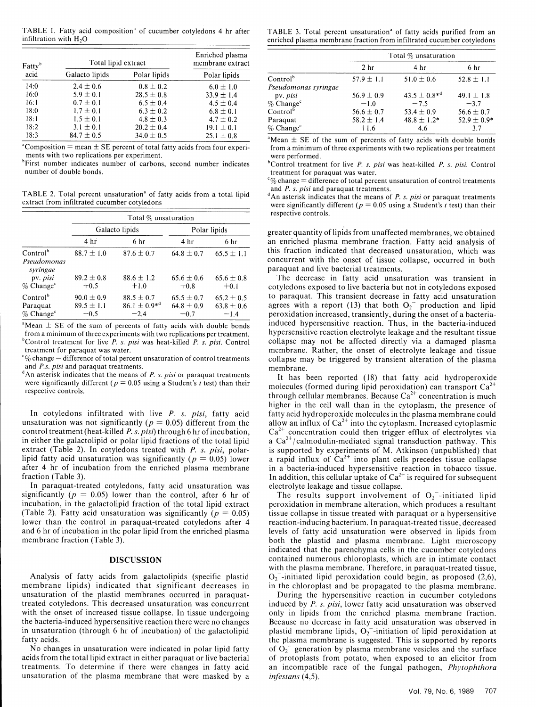| Fatty <sup>b</sup> |                     |                | Enriched plasma  |                                                                                | Total $\%$ unsaturation |                     |                 |
|--------------------|---------------------|----------------|------------------|--------------------------------------------------------------------------------|-------------------------|---------------------|-----------------|
|                    | Total lipid extract |                | membrane extract |                                                                                | 2 <sub>hr</sub>         | 4 <sub>hr</sub>     | 6 <sub>hr</sub> |
| acid               | Galacto lipids      | Polar lipids   | Polar lipids     | Control <sup>b</sup>                                                           | $57.9 \pm 1.1$          | $51.0 \pm 0.6$      | $52.8 \pm 1.1$  |
| 14:0               | $2.4 \pm 0.6$       | $0.8 \pm 0.2$  | $6.0 \pm 1.0$    | Pseudomonas syringae                                                           |                         |                     |                 |
| 16:0               | $5.9 \pm 0.1$       | $28.5 \pm 0.8$ | $33.9 \pm 1.4$   | pv. <i>pisi</i>                                                                | $56.9 \pm 0.9$          | $43.5 \pm 0.8^{*d}$ | 49.1 $\pm$ 1.8  |
| 16:1               | $0.7 \pm 0.1$       | $6.5 \pm 0.4$  | $4.5 \pm 0.4$    | $\%$ Change <sup>c</sup>                                                       | $-1.0$                  | $-7.5$              | $-3.7$          |
| 18:0               | $1.7 \pm 0.1$       | $6.3 \pm 0.2$  | $6.8 \pm 0.1$    | Control <sup>o</sup>                                                           | $56.6 \pm 0.7$          | $53.4 \pm 0.9$      | $56.6 \pm 0.7$  |
| 18:1               | $1.5 \pm 0.1$       | $4.8 \pm 0.3$  | $4.7 \pm 0.2$    | Paraquat                                                                       | $58.2 \pm 1.4$          | $48.8 \pm 1.2*$     | $52.9 \pm 0.9$  |
| 18:2               | $3.1 \pm 0.1$       | $20.2 \pm 0.4$ | $19.1 \pm 0.1$   | $\%$ Change <sup>c</sup>                                                       | $+1.6$                  | $-4.6$              | $-3.7$          |
| 18:3               | $84.7 \pm 0.5$      | $34.0 \pm 0.5$ | $25.1 \pm 0.8$   | $\degree$ Mean $\pm$ SE of the sum of percents of fatty acids with double bond |                         |                     |                 |

number of double bonds. The context of the context of paraquat was water.

and *P. s. pisi* and paraquat treatments.<br>
extract from infiltrated cucumber cotyledons<br>
extract from infiltrated cucumber cotyledons<br>
were significantly different ( $p = 0.05$  using a Student's t test) than their

|                                                                                          | Total % unsaturation                                 |                                                           |                                                      |                                                      |  |  |  |
|------------------------------------------------------------------------------------------|------------------------------------------------------|-----------------------------------------------------------|------------------------------------------------------|------------------------------------------------------|--|--|--|
|                                                                                          |                                                      | Galacto lipids                                            | Polar lipids                                         |                                                      |  |  |  |
|                                                                                          | 4 <sup>hr</sup>                                      | 6 <sub>hr</sub>                                           | 4 hr                                                 | 6 hr                                                 |  |  |  |
| Control <sup>b</sup><br>Pseudomonas<br>syringae<br>pv. pisi                              | $88.7 \pm 1.0$<br>$89.2 \pm 0.8$                     | $87.6 \pm 0.7$<br>$88.6 \pm 1.2$                          | $64.8 \pm 0.7$<br>$65.6 \pm 0.6$                     | $65.5 \pm 1.1$<br>$65.6 \pm 0.8$                     |  |  |  |
| $\%$ Change <sup>c</sup><br>Control <sup>b</sup><br>Paraquat<br>$\%$ Change <sup>c</sup> | $+0.5$<br>$90.0 \pm 0.9$<br>$89.5 \pm 1.1$<br>$-0.5$ | $+1.0$<br>$88.5 \pm 0.7$<br>$86.1 \pm 0.9^{*d}$<br>$-2.4$ | $+0.8$<br>$65.5 \pm 0.7$<br>$64.8 \pm 0.9$<br>$-0.7$ | $+0.1$<br>$65.2 \pm 0.5$<br>$63.8 \pm 0.6$<br>$-1.4$ |  |  |  |

from a minimum of three experiments with two replications per treatment.<br><sup>b</sup>Control treatment for live P. s. pisi was heat-killed P. s. pisi. Control collapse may not be affected directly via a damaged plasma

and *P.s. pisi* and paraquat treatments.<br>
<sup>d</sup>An asterisk indicates that the means of *P. s. pisi* or paraquat treatments It has been reported (18) that fatty acid hydroperoxide were significantly different ( $p = 0.05$  using a Student's t test) than their respective controls.

unsaturation was not significantly ( $p = 0.05$ ) different from the allow an influx of Ca<sup>2+</sup> into the cytoplasm. Increased cytoplasmic control treatment (heat-killed *P. s. pisi*) through 6 hr of incubation, Ca<sup>2+</sup> concentration could then trigger efflux of electrolytes via in either the galactolipid or polar lipid fractions of the total lipid  $a Ca<sup>2+</sup>/cal$  almodulin-mediated signal transduction pathway. This extract (Table 2). In cotyledons treated with *P. s. pisi,* polar- is supported by experiments of M. Atkinson (unpublished) that lipid fatty acid unsaturation was significantly ( $p = 0.05$ ) lower a rapid influx of  $Ca^{2+}$  into plant cells precedes tissue collapse after 4 hr of incubation from the enriched plasma membrane in a bacteria-induced hypersensitive reaction in tobacco tissue.

In paraquat-treated cotyledons, fatty acid unsaturation was electrolyte leakage and tissue collapse.<br>significantly ( $p = 0.05$ ) lower than the control, after 6 hr of The results support involvement of O<sub>2</sub><sup>-</sup>-initiated lip incubation, in the galactolipid fraction of the total lipid extract peroxidation in membrane alteration, which produces a resultant (Table 2). Fatty acid unsaturation was significantly  $(p = 0.05)$  issue collapse in tissue treated with paraquat or a hypersensitive lower than the control in paraquat-treated cotyledons after  $4$  reaction-inducing bacterium. In paraquat-treated tissue, decreased the control in paraquat-treated control in paraquat-treated control in paraquat-treated ti and 6 hr of incubation in the polar lipid from the enriched plasma levels of fatty acid unsaturation were observed in lipids from and 6 hr of incubation in the polar lipid from the enriched plasma levels of fatty acid unsaturation were observed in lipids from membrane fraction (Table 3).<br>both the plastid and plasma membrane. Light microscopy

Analysis of fatty acids from galactolipids (specific plastid membrane lipids) indicated that significant decreases in unsaturation of the plastid membranes occurred in paraquatunsaturation of the plastid membranes occurred in paraquat-<br>treated cotyledons. This decreased unsaturation was concurrent induced by *P. s. pisi*, lower fatty acid unsaturation was observed treated cotyledons. This decreased unsaturation was concurrent induced by P. s. pisi, lower fatty acid unsaturation was observed with the onset of increased tissue collapse. In tissue undergoing only in lipids from the enr the bacteria-induced hypersensitive reaction there were no changes in unsaturation (through 6 hr of incubation) of the galactolipid in unsaturation (through 6 hr of incubation) of the galactolipid plastid membrane lipids,  $O_2$ -initiation of lipid peroxidation at fatty acids.

unsaturation of the plasma membrane that were masked by a *infestans (4,5).*

TABLE 1. Fatty acid composition<sup>ª</sup> of cucumber cotyledons 4 hr after TABLE 3. Total percent unsaturation<sup>ª</sup> of fatty acids purified from an infiltration with  $H_2O$  enriched plasma membrane fraction from infiltrated cucum

| Enriched plasma  |                          | Total $\%$ unsaturation |                     |                 |  |
|------------------|--------------------------|-------------------------|---------------------|-----------------|--|
| nembrane extract |                          | 2 <sub>hr</sub>         | 4 hr                | 6 hr            |  |
| Polar lipids     | Control <sup>b</sup>     | $57.9 \pm 1.1$          | $51.0 \pm 0.6$      | $52.8 \pm 1.1$  |  |
| $6.0 \pm 1.0$    | Pseudomonas syringae     |                         |                     |                 |  |
| $33.9 \pm 1.4$   | pv. pisi                 | $56.9 \pm 0.9$          | $43.5 \pm 0.8^{*d}$ | 49.1 $\pm$ 1.8  |  |
| $4.5 \pm 0.4$    | $\%$ Change <sup>c</sup> | $-1.0$                  | $-7.5$              | $-3.7$          |  |
| $6.8 \pm 0.1$    | Control <sup>b</sup>     | $56.6 \pm 0.7$          | 53.4 $\pm$ 0.9      | 56.6 $\pm$ 0.7  |  |
| $4.7 \pm 0.2$    | Paraquat                 | $58.2 \pm 1.4$          | $48.8 \pm 1.2*$     | $52.9 \pm 0.9*$ |  |
| $19.1 \pm 0.1$   | $\%$ Change <sup>c</sup> | $+1.6$                  | $-4.6$              | $-3.7$          |  |
| $251 + 0.8$      |                          |                         |                     |                 |  |

 $18$ <sup>3</sup>Mean  $\pm$  SE of the sum of percents of fatty acids with double bonds <sup>a</sup>Composition = mean ± SE percent of total fatty acids from four experi-<br>
from a minimum of three experiments with two replications per treatment ments with two replications per experiment.<br><sup>b</sup>First number indicates number of carbons, second number indicates bControl treatment for live *P. s. pisi* was heat-killed *P. s. pisi.* Control treatment for live *P. s. pisi* 

**C%** change **-** difference of total percent unsaturation of control treatments

were significantly different ( $p = 0.05$  using a Student's *t* test) than their respective controls.

greater quantity of lipids from unaffected membranes, we obtained an enriched plasma membrane fraction. Fatty acid analysis of this fraction indicated that decreased unsaturation, which was concurrent with the onset of tissue collapse, occurred in both paraquat and live bacterial treatments.

The decrease in fatty acid unsaturation was transient in cotyledons exposed to live bacteria but not in cotyledons exposed to paraquat. This transient decrease in fatty acid unsaturation agrees with a report (13) that both  $O_2$ <sup>-</sup> production and lipid peroxidation increased, transiently, during the onset of a bacteria-<sup>a</sup>Mean  $\pm$  SE of the sum of percents of fatty acids with double bonds induced hypersensitive reaction. Thus, in the bacteria-induced treatment for paraquat was water.<br>"% change = difference of total percent unsaturation of control treatments collapse may be triggered by transient alteration of the plasma

molecules (formed during lipid peroxidation) can transport  $Ca^{2+}$ through cellular membranes. Because  $Ca^{2+}$  concentration is much higher in the cell wall than in the cytoplasm, the presence of In cotyledons infiltrated with live *P. s. pisi*, fatty acid fatty acid hydroperoxide molecules in the plasma membrane could fraction (Table 3). In addition, this cellular uptake of  $Ca^{2+}$  is required for subsequent

indicated that the parenchyma cells in the cucumber cotyledons **DISCUSSION contained numerous chloroplasts, which are in intimate contact** with the plasma membrane. Therefore, in paraquat-treated tissue,  $O_2$ -initiated lipid peroxidation could begin, as proposed (2,6), in the chloroplast and be propagated to the plasma membrane.

only in lipids from the enriched plasma membrane fraction.<br>Because no decrease in fatty acid unsaturation was observed in tty acids.<br>No changes in unsaturation were indicated in polar lipid fatty of  $O<sub>2</sub>$  generation by plasma membrane vesicles and the surface No changes in unsaturation were indicated in polar lipid fatty of  $O_2^-$  generation by plasma membrane vesicles and the surface acids from the total lipid extract in either paraquat or live bacterial of protoplasts from p acids from the total lipid extract in either paraquat or live bacterial of protoplasts from potato, when exposed to an elicitor from treatments. To determine if there were changes in fatty acid an incompatible race of the